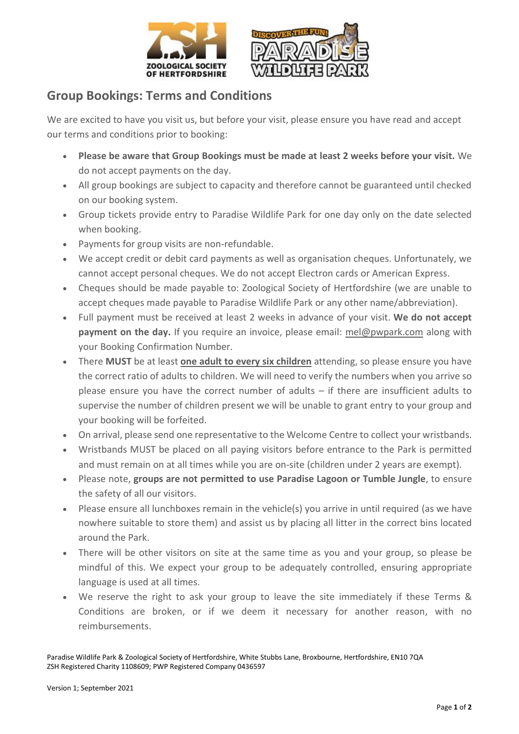



## **Group Bookings: Terms and Conditions**

We are excited to have you visit us, but before your visit, please ensure you have read and accept our terms and conditions prior to booking:

- **Please be aware that Group Bookings must be made at least 2 weeks before your visit.** We do not accept payments on the day.
- All group bookings are subject to capacity and therefore cannot be guaranteed until checked on our booking system.
- Group tickets provide entry to Paradise Wildlife Park for one day only on the date selected when booking.
- Payments for group visits are non-refundable.
- We accept credit or debit card payments as well as organisation cheques. Unfortunately, we cannot accept personal cheques. We do not accept Electron cards or American Express.
- Cheques should be made payable to: Zoological Society of Hertfordshire (we are unable to accept cheques made payable to Paradise Wildlife Park or any other name/abbreviation).
- Full payment must be received at least 2 weeks in advance of your visit. **We do not accept payment on the day.** If you require an invoice, please email: [mel@pwpark.com](mailto:mel@pwpark.com) along with your Booking Confirmation Number.
- There **MUST** be at least **one adult to every six children** attending, so please ensure you have the correct ratio of adults to children. We will need to verify the numbers when you arrive so please ensure you have the correct number of adults – if there are insufficient adults to supervise the number of children present we will be unable to grant entry to your group and your booking will be forfeited.
- On arrival, please send one representative to the Welcome Centre to collect your wristbands.
- Wristbands MUST be placed on all paying visitors before entrance to the Park is permitted and must remain on at all times while you are on-site (children under 2 years are exempt).
- Please note, **groups are not permitted to use Paradise Lagoon or Tumble Jungle**, to ensure the safety of all our visitors.
- Please ensure all lunchboxes remain in the vehicle(s) you arrive in until required (as we have nowhere suitable to store them) and assist us by placing all litter in the correct bins located around the Park.
- There will be other visitors on site at the same time as you and your group, so please be mindful of this. We expect your group to be adequately controlled, ensuring appropriate language is used at all times.
- We reserve the right to ask your group to leave the site immediately if these Terms & Conditions are broken, or if we deem it necessary for another reason, with no reimbursements.

Paradise Wildlife Park & Zoological Society of Hertfordshire, White Stubbs Lane, Broxbourne, Hertfordshire, EN10 7QA ZSH Registered Charity 1108609; PWP Registered Company 0436597